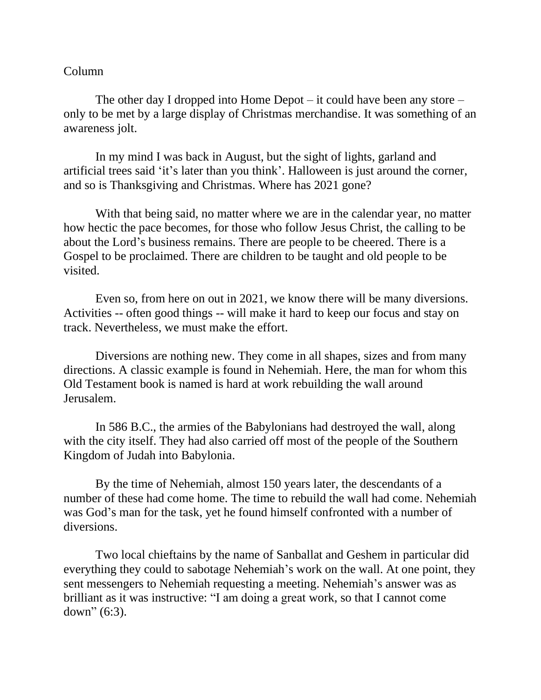## Column

The other day I dropped into Home Depot – it could have been any store – only to be met by a large display of Christmas merchandise. It was something of an awareness jolt.

In my mind I was back in August, but the sight of lights, garland and artificial trees said 'it's later than you think'. Halloween is just around the corner, and so is Thanksgiving and Christmas. Where has 2021 gone?

With that being said, no matter where we are in the calendar year, no matter how hectic the pace becomes, for those who follow Jesus Christ, the calling to be about the Lord's business remains. There are people to be cheered. There is a Gospel to be proclaimed. There are children to be taught and old people to be visited.

Even so, from here on out in 2021, we know there will be many diversions. Activities -- often good things -- will make it hard to keep our focus and stay on track. Nevertheless, we must make the effort.

Diversions are nothing new. They come in all shapes, sizes and from many directions. A classic example is found in Nehemiah. Here, the man for whom this Old Testament book is named is hard at work rebuilding the wall around Jerusalem.

In 586 B.C., the armies of the Babylonians had destroyed the wall, along with the city itself. They had also carried off most of the people of the Southern Kingdom of Judah into Babylonia.

By the time of Nehemiah, almost 150 years later, the descendants of a number of these had come home. The time to rebuild the wall had come. Nehemiah was God's man for the task, yet he found himself confronted with a number of diversions.

Two local chieftains by the name of Sanballat and Geshem in particular did everything they could to sabotage Nehemiah's work on the wall. At one point, they sent messengers to Nehemiah requesting a meeting. Nehemiah's answer was as brilliant as it was instructive: "I am doing a great work, so that I cannot come down" (6:3).